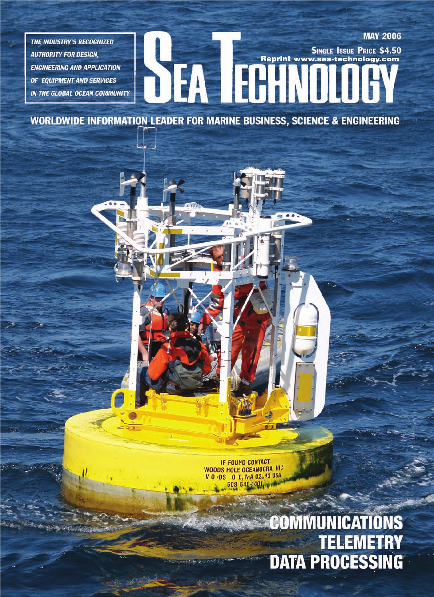**THE INDUSTRY'S RECOGNIZED AUTHORITY FOR DESIGN, ENGINEERING AND APPLICATION** OF EQUIPMENT AND SERVICES IN THE GLOBAL OCEAN COMMUNITY

## **MAY 2006** SEA EGANOI **SINGLE ISSUE PRICE \$4.50** Reprint www.sea-technology.com

 $\bullet$ 

**WORLDWIDE INFORMATION LEADER FOR MARINE BUSINESS, SCIENCE & ENGINEERING** 

**IF FOUND CONTACT WOODS HOLE OCEANOGRA HIS** V O (DS O E, MA 02JA3 USA 508-548-1401, pm

### **COMMUNICATIONS TELEMETRY DATA PROCESSING**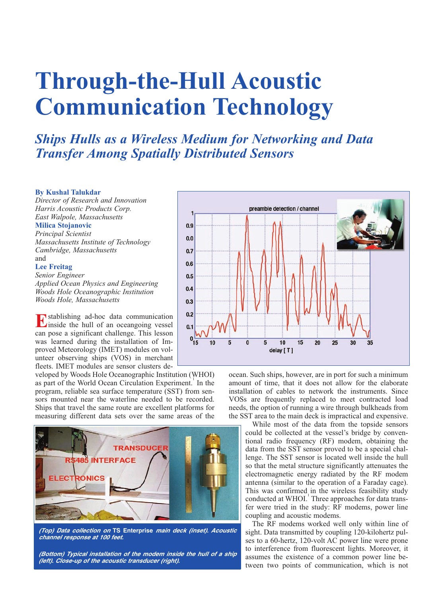# **Through-the-Hull Acoustic Communication Technology**

*Ships Hulls as a Wireless Medium for Networking and Data Transfer Among Spatially Distributed Sensors*

#### **By Kushal Talukdar**

*Director of Research and Innovation Harris Acoustic Products Corp. East Walpole, Massachusetts* **Milica Stojanovic**

### *Principal Scientist*

*Massachusetts Institute of Technology Cambridge, Massachusetts* and

#### **Lee Freitag**

*Senior Engineer Applied Ocean Physics and Engineering Woods Hole Oceanographic Institution Woods Hole, Massachusetts*

**E**stablishing ad-hoc data communication<br>inside the hull of an oceangoing vessel can pose a significant challenge. This lesson was learned during the installation of Improved Meteorology (IMET) modules on volunteer observing ships (VOS) in merchant fleets. IMET modules are sensor clusters de-

veloped by Woods Hole Oceanographic Institution (WHOI) as part of the World Ocean Circulation Experiment.<sup>1</sup> In the program, reliable sea surface temperature (SST) from sensors mounted near the waterline needed to be recorded. Ships that travel the same route are excellent platforms for measuring different data sets over the same areas of the



**(Top) Data collection on TS Enterprise main deck (inset). Acoustic channel response at 100 feet.**

**(Bottom) Typical installation of the modem inside the hull of a ship (left). Close-up of the acoustic transducer (right).** 



ocean. Such ships, however, are in port for such a minimum amount of time, that it does not allow for the elaborate installation of cables to network the instruments. Since VOSs are frequently replaced to meet contracted load needs, the option of running a wire through bulkheads from the SST area to the main deck is impractical and expensive.

While most of the data from the topside sensors could be collected at the vessel's bridge by conventional radio frequency (RF) modem, obtaining the data from the SST sensor proved to be a special challenge. The SST sensor is located well inside the hull so that the metal structure significantly attenuates the electromagnetic energy radiated by the RF modem antenna (similar to the operation of a Faraday cage). This was confirmed in the wireless feasibility study conducted at WHOI.<sup>1</sup> Three approaches for data transfer were tried in the study: RF modems, power line coupling and acoustic modems.

The RF modems worked well only within line of sight. Data transmitted by coupling 120-kilohertz pulses to a 60-hertz, 120-volt AC power line were prone to interference from fluorescent lights. Moreover, it assumes the existence of a common power line between two points of communication, which is not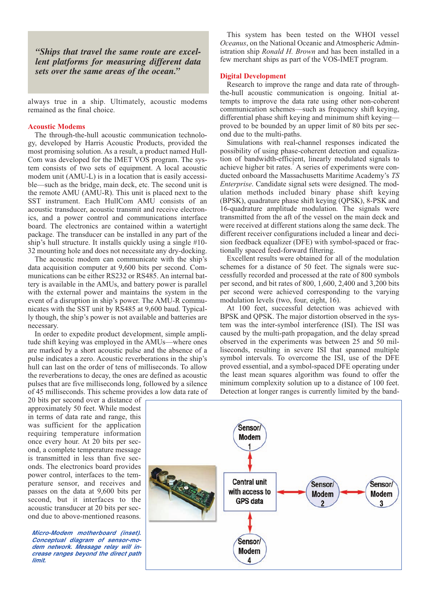*"Ships that travel the same route are excellent platforms for measuring different data sets over the same areas of the ocean."*

always true in a ship. Ultimately, acoustic modems remained as the final choice.

#### **Acoustic Modems**

The through-the-hull acoustic communication technology, developed by Harris Acoustic Products, provided the most promising solution. As a result, a product named Hull-Com was developed for the IMET VOS program. The system consists of two sets of equipment. A local acoustic modem unit (AMU-L) is in a location that is easily accessible—such as the bridge, main deck, etc. The second unit is the remote AMU (AMU-R). This unit is placed next to the SST instrument. Each HullCom AMU consists of an acoustic transducer, acoustic transmit and receive electronics, and a power control and communications interface board. The electronics are contained within a watertight package. The transducer can be installed in any part of the ship's hull structure. It installs quickly using a single #10- 32 mounting hole and does not necessitate any dry-docking.

The acoustic modem can communicate with the ship's data acquisition computer at 9,600 bits per second. Communications can be either RS232 or RS485. An internal battery is available in the AMUs, and battery power is parallel with the external power and maintains the system in the event of a disruption in ship's power. The AMU-R communicates with the SST unit by RS485 at 9,600 baud. Typically though, the ship's power is not available and batteries are necessary.

In order to expedite product development, simple amplitude shift keying was employed in the AMUs—where ones are marked by a short acoustic pulse and the absence of a pulse indicates a zero. Acoustic reverberations in the ship's hull can last on the order of tens of milliseconds. To allow the reverberations to decay, the ones are defined as acoustic pulses that are five milliseconds long, followed by a silence of 45 milliseconds. This scheme provides a low data rate of

20 bits per second over a distance of approximately 50 feet. While modest in terms of data rate and range, this was sufficient for the application requiring temperature information once every hour. At 20 bits per second, a complete temperature message is transmitted in less than five seconds. The electronics board provides power control, interfaces to the temperature sensor, and receives and passes on the data at 9,600 bits per second, but it interfaces to the acoustic transducer at 20 bits per second due to above-mentioned reasons.

**Micro-Modem motherboard (inset). Conceptual diagram of sensor-modem network. Message relay will increase ranges beyond the direct path limit.**

This system has been tested on the WHOI vessel *Oceanus*, on the National Oceanic and Atmospheric Administration ship *Ronald H. Brown* and has been installed in a few merchant ships as part of the VOS-IMET program.

#### **Digital Development**

Research to improve the range and data rate of throughthe-hull acoustic communication is ongoing. Initial attempts to improve the data rate using other non-coherent communication schemes—such as frequency shift keying, differential phase shift keying and minimum shift keying proved to be bounded by an upper limit of 80 bits per second due to the multi-paths.

Simulations with real-channel responses indicated the possibility of using phase-coherent detection and equalization of bandwidth-efficient, linearly modulated signals to achieve higher bit rates.<sup>2</sup> A series of experiments were conducted onboard the Massachusetts Maritime Academy's *TS Enterprise*. Candidate signal sets were designed. The modulation methods included binary phase shift keying (BPSK), quadrature phase shift keying (QPSK), 8-PSK and 16-quadrature amplitude modulation. The signals were transmitted from the aft of the vessel on the main deck and were received at different stations along the same deck. The different receiver configurations included a linear and decision feedback equalizer (DFE) with symbol-spaced or fractionally spaced feed-forward filtering.

Excellent results were obtained for all of the modulation schemes for a distance of 50 feet. The signals were successfully recorded and processed at the rate of 800 symbols per second, and bit rates of 800, 1,600, 2,400 and 3,200 bits per second were achieved corresponding to the varying modulation levels (two, four, eight, 16).

At 100 feet, successful detection was achieved with BPSK and QPSK. The major distortion observed in the system was the inter-symbol interference (ISI). The ISI was caused by the multi-path propagation, and the delay spread observed in the experiments was between 25 and 50 milliseconds, resulting in severe ISI that spanned multiple symbol intervals. To overcome the ISI, use of the DFE proved essential, and a symbol-spaced DFE operating under the least mean squares algorithm was found to offer the minimum complexity solution up to a distance of 100 feet. Detection at longer ranges is currently limited by the band-

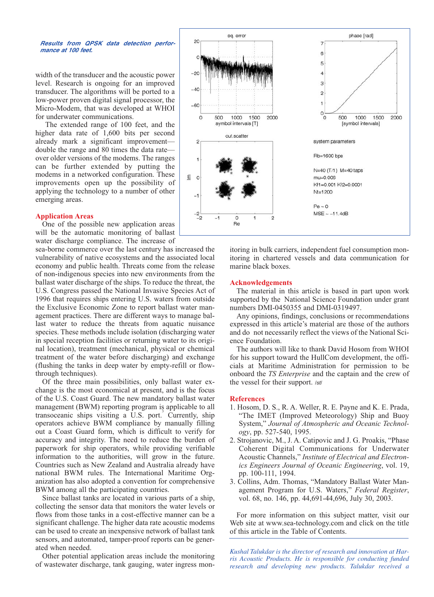#### **Results from QPSK data detection performance at 100 feet.**

width of the transducer and the acoustic power level. Research is ongoing for an improved transducer. The algorithms will be ported to a low-power proven digital signal processor, the Micro-Modem, that was developed at WHOI for underwater communications.

The extended range of 100 feet, and the higher data rate of 1,600 bits per second already mark a significant improvement double the range and 80 times the data rate over older versions of the modems. The ranges can be further extended by putting the modems in a networked configuration. These improvements open up the possibility of applying the technology to a number of other emerging areas.

#### **Application Areas**

One of the possible new application areas will be the automatic monitoring of ballast water discharge compliance. The increase of

sea-borne commerce over the last century has increased the vulnerability of native ecosystems and the associated local economy and public health. Threats come from the release of non-indigenous species into new environments from the ballast water discharge of the ships. To reduce the threat, the U.S. Congress passed the National Invasive Species Act of 1996 that requires ships entering U.S. waters from outside the Exclusive Economic Zone to report ballast water management practices. There are different ways to manage ballast water to reduce the threats from aquatic nuisance species. These methods include isolation (discharging water in special reception facilities or returning water to its original location), treatment (mechanical, physical or chemical treatment of the water before discharging) and exchange (flushing the tanks in deep water by empty-refill or flowthrough techniques).

Of the three main possibilities, only ballast water exchange is the most economical at present, and is the focus of the U.S. Coast Guard. The new mandatory ballast water management (BWM) reporting program is applicable to all transoceanic ships visiting a U.S. port. Currently, ship operators achieve BWM compliance by manually filling out a Coast Guard form, which is difficult to verify for accuracy and integrity. The need to reduce the burden of paperwork for ship operators, while providing verifiable information to the authorities, will grow in the future. Countries such as New Zealand and Australia already have national BWM rules. The International Maritime Organization has also adopted a convention for comprehensive BWM among all the participating countries.

Since ballast tanks are located in various parts of a ship, collecting the sensor data that monitors the water levels or flows from those tanks in a cost-effective manner can be a significant challenge. The higher data rate acoustic modems can be used to create an inexpensive network of ballast tank sensors, and automated, tamper-proof reports can be generated when needed.

Other potential application areas include the monitoring of wastewater discharge, tank gauging, water ingress mon-



itoring in bulk carriers, independent fuel consumption monitoring in chartered vessels and data communication for marine black boxes.

#### **Acknowledgements**

The material in this article is based in part upon work supported by the National Science Foundation under grant numbers DMI-0450355 and DMI-0319497.

Any opinions, findings, conclusions or recommendations expressed in this article's material are those of the authors and do not necessarily reflect the views of the National Science Foundation.

The authors will like to thank David Hosom from WHOI for his support toward the HullCom development, the officials at Maritime Administration for permission to be onboard the *TS Enterprise* and the captain and the crew of the vessel for their support. */st/*

#### **References**

- 1. Hosom, D. S., R. A. Weller, R. E. Payne and K. E. Prada, "The IMET (Improved Meteorology) Ship and Buoy System," *Journal of Atmospheric and Oceanic Technology*, pp. 527-540, 1995.
- 2. Strojanovic, M., J. A. Catipovic and J. G. Proakis, "Phase Coherent Digital Communications for Underwater Acoustic Channels," *Institute of Electrical and Electronics Engineers Journal of Oceanic Engineering*, vol. 19, pp. 100-111, 1994.
- 3. Collins, Adm. Thomas, "Mandatory Ballast Water Management Program for U.S. Waters," *Federal Register*, vol. 68, no. 146, pp. 44,691-44,696, July 30, 2003.

For more information on this subject matter, visit our Web site at www.sea-technology.com and click on the title of this article in the Table of Contents.

*Kushal Talukdar is the director of research and innovation at Harris Acoustic Products. He is responsible for conducting funded research and developing new products. Talukdar received a*